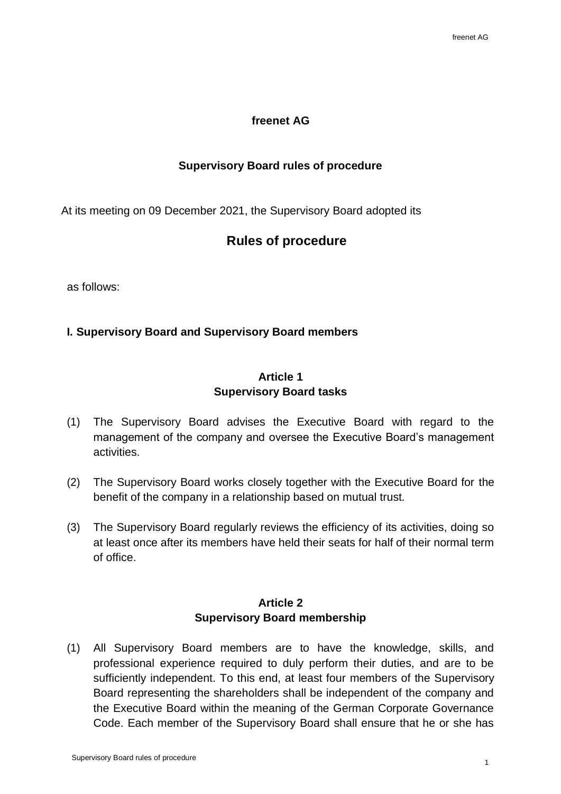#### **freenet AG**

#### **Supervisory Board rules of procedure**

At its meeting on 09 December 2021, the Supervisory Board adopted its

# **Rules of procedure**

as follows:

## **I. Supervisory Board and Supervisory Board members**

## **Article 1 Supervisory Board tasks**

- (1) The Supervisory Board advises the Executive Board with regard to the management of the company and oversee the Executive Board's management activities.
- (2) The Supervisory Board works closely together with the Executive Board for the benefit of the company in a relationship based on mutual trust.
- (3) The Supervisory Board regularly reviews the efficiency of its activities, doing so at least once after its members have held their seats for half of their normal term of office.

## **Article 2 Supervisory Board membership**

(1) All Supervisory Board members are to have the knowledge, skills, and professional experience required to duly perform their duties, and are to be sufficiently independent. To this end, at least four members of the Supervisory Board representing the shareholders shall be independent of the company and the Executive Board within the meaning of the German Corporate Governance Code. Each member of the Supervisory Board shall ensure that he or she has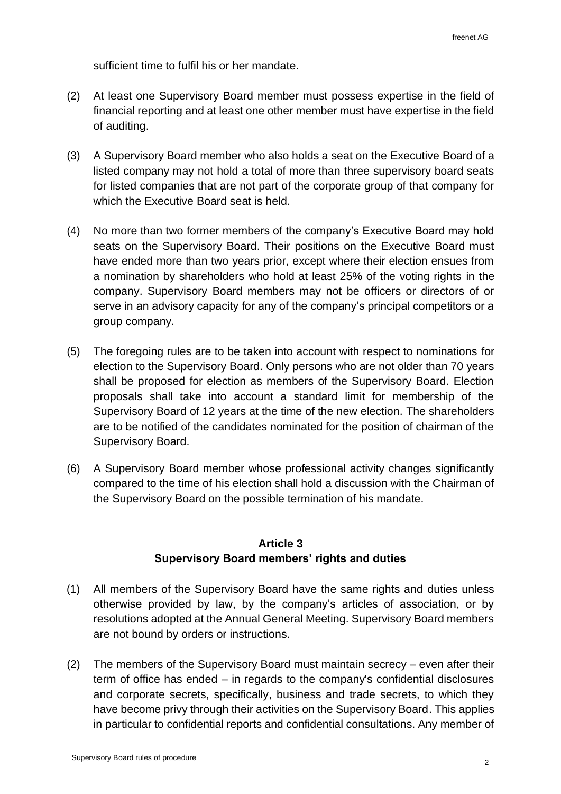sufficient time to fulfil his or her mandate.

- (2) At least one Supervisory Board member must possess expertise in the field of financial reporting and at least one other member must have expertise in the field of auditing.
- (3) A Supervisory Board member who also holds a seat on the Executive Board of a listed company may not hold a total of more than three supervisory board seats for listed companies that are not part of the corporate group of that company for which the Executive Board seat is held.
- (4) No more than two former members of the company's Executive Board may hold seats on the Supervisory Board. Their positions on the Executive Board must have ended more than two years prior, except where their election ensues from a nomination by shareholders who hold at least 25% of the voting rights in the company. Supervisory Board members may not be officers or directors of or serve in an advisory capacity for any of the company's principal competitors or a group company.
- (5) The foregoing rules are to be taken into account with respect to nominations for election to the Supervisory Board. Only persons who are not older than 70 years shall be proposed for election as members of the Supervisory Board. Election proposals shall take into account a standard limit for membership of the Supervisory Board of 12 years at the time of the new election. The shareholders are to be notified of the candidates nominated for the position of chairman of the Supervisory Board.
- (6) A Supervisory Board member whose professional activity changes significantly compared to the time of his election shall hold a discussion with the Chairman of the Supervisory Board on the possible termination of his mandate.

## **Article 3 Supervisory Board members' rights and duties**

- (1) All members of the Supervisory Board have the same rights and duties unless otherwise provided by law, by the company's articles of association, or by resolutions adopted at the Annual General Meeting. Supervisory Board members are not bound by orders or instructions.
- (2) The members of the Supervisory Board must maintain secrecy even after their term of office has ended – in regards to the company's confidential disclosures and corporate secrets, specifically, business and trade secrets, to which they have become privy through their activities on the Supervisory Board. This applies in particular to confidential reports and confidential consultations. Any member of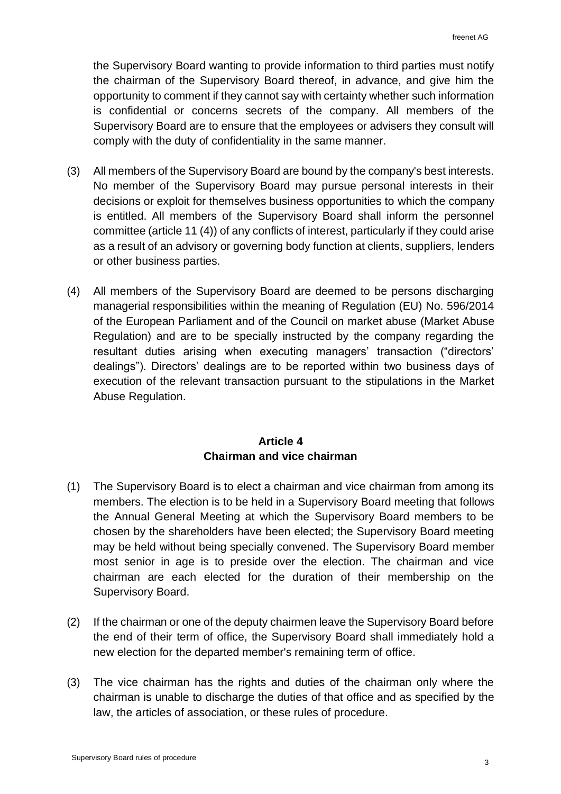the Supervisory Board wanting to provide information to third parties must notify the chairman of the Supervisory Board thereof, in advance, and give him the opportunity to comment if they cannot say with certainty whether such information is confidential or concerns secrets of the company. All members of the Supervisory Board are to ensure that the employees or advisers they consult will comply with the duty of confidentiality in the same manner.

- (3) All members of the Supervisory Board are bound by the company's best interests. No member of the Supervisory Board may pursue personal interests in their decisions or exploit for themselves business opportunities to which the company is entitled. All members of the Supervisory Board shall inform the personnel committee (article 11 (4)) of any conflicts of interest, particularly if they could arise as a result of an advisory or governing body function at clients, suppliers, lenders or other business parties.
- (4) All members of the Supervisory Board are deemed to be persons discharging managerial responsibilities within the meaning of Regulation (EU) No. 596/2014 of the European Parliament and of the Council on market abuse (Market Abuse Regulation) and are to be specially instructed by the company regarding the resultant duties arising when executing managers' transaction ("directors' dealings"). Directors' dealings are to be reported within two business days of execution of the relevant transaction pursuant to the stipulations in the Market Abuse Regulation.

## **Article 4 Chairman and vice chairman**

- (1) The Supervisory Board is to elect a chairman and vice chairman from among its members. The election is to be held in a Supervisory Board meeting that follows the Annual General Meeting at which the Supervisory Board members to be chosen by the shareholders have been elected; the Supervisory Board meeting may be held without being specially convened. The Supervisory Board member most senior in age is to preside over the election. The chairman and vice chairman are each elected for the duration of their membership on the Supervisory Board.
- (2) If the chairman or one of the deputy chairmen leave the Supervisory Board before the end of their term of office, the Supervisory Board shall immediately hold a new election for the departed member's remaining term of office.
- (3) The vice chairman has the rights and duties of the chairman only where the chairman is unable to discharge the duties of that office and as specified by the law, the articles of association, or these rules of procedure.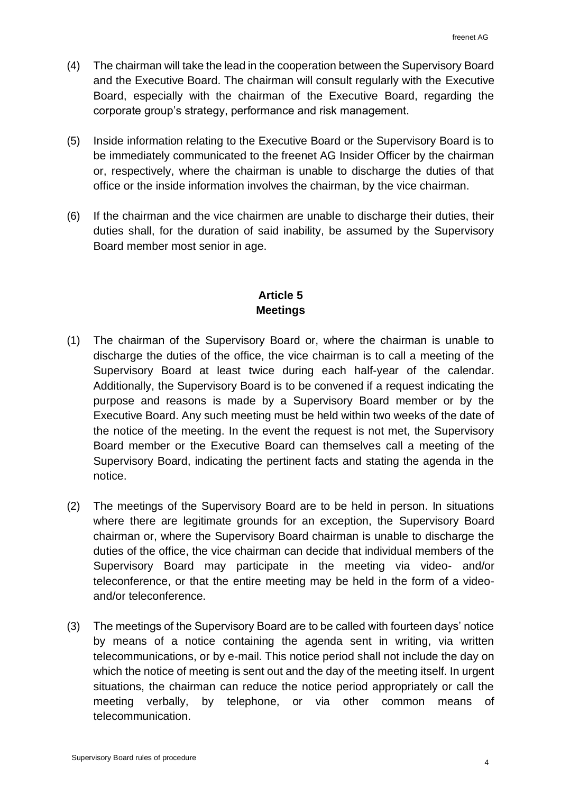- (4) The chairman will take the lead in the cooperation between the Supervisory Board and the Executive Board. The chairman will consult regularly with the Executive Board, especially with the chairman of the Executive Board, regarding the corporate group's strategy, performance and risk management.
- (5) Inside information relating to the Executive Board or the Supervisory Board is to be immediately communicated to the freenet AG Insider Officer by the chairman or, respectively, where the chairman is unable to discharge the duties of that office or the inside information involves the chairman, by the vice chairman.
- (6) If the chairman and the vice chairmen are unable to discharge their duties, their duties shall, for the duration of said inability, be assumed by the Supervisory Board member most senior in age.

## **Article 5 Meetings**

- (1) The chairman of the Supervisory Board or, where the chairman is unable to discharge the duties of the office, the vice chairman is to call a meeting of the Supervisory Board at least twice during each half-year of the calendar. Additionally, the Supervisory Board is to be convened if a request indicating the purpose and reasons is made by a Supervisory Board member or by the Executive Board. Any such meeting must be held within two weeks of the date of the notice of the meeting. In the event the request is not met, the Supervisory Board member or the Executive Board can themselves call a meeting of the Supervisory Board, indicating the pertinent facts and stating the agenda in the notice.
- (2) The meetings of the Supervisory Board are to be held in person. In situations where there are legitimate grounds for an exception, the Supervisory Board chairman or, where the Supervisory Board chairman is unable to discharge the duties of the office, the vice chairman can decide that individual members of the Supervisory Board may participate in the meeting via video- and/or teleconference, or that the entire meeting may be held in the form of a videoand/or teleconference.
- (3) The meetings of the Supervisory Board are to be called with fourteen days' notice by means of a notice containing the agenda sent in writing, via written telecommunications, or by e-mail. This notice period shall not include the day on which the notice of meeting is sent out and the day of the meeting itself. In urgent situations, the chairman can reduce the notice period appropriately or call the meeting verbally, by telephone, or via other common means of telecommunication.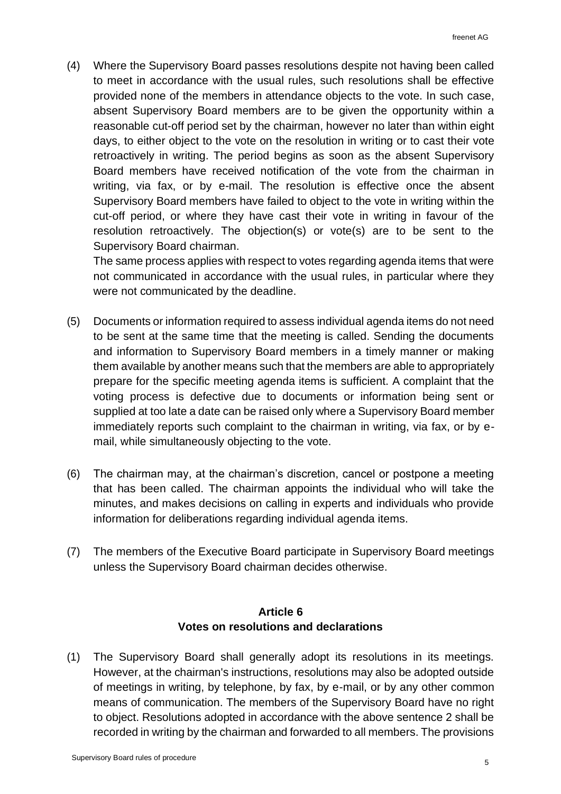(4) Where the Supervisory Board passes resolutions despite not having been called to meet in accordance with the usual rules, such resolutions shall be effective provided none of the members in attendance objects to the vote. In such case, absent Supervisory Board members are to be given the opportunity within a reasonable cut-off period set by the chairman, however no later than within eight days, to either object to the vote on the resolution in writing or to cast their vote retroactively in writing. The period begins as soon as the absent Supervisory Board members have received notification of the vote from the chairman in writing, via fax, or by e-mail. The resolution is effective once the absent Supervisory Board members have failed to object to the vote in writing within the cut-off period, or where they have cast their vote in writing in favour of the resolution retroactively. The objection(s) or vote(s) are to be sent to the Supervisory Board chairman.

The same process applies with respect to votes regarding agenda items that were not communicated in accordance with the usual rules, in particular where they were not communicated by the deadline.

- (5) Documents or information required to assess individual agenda items do not need to be sent at the same time that the meeting is called. Sending the documents and information to Supervisory Board members in a timely manner or making them available by another means such that the members are able to appropriately prepare for the specific meeting agenda items is sufficient. A complaint that the voting process is defective due to documents or information being sent or supplied at too late a date can be raised only where a Supervisory Board member immediately reports such complaint to the chairman in writing, via fax, or by email, while simultaneously objecting to the vote.
- (6) The chairman may, at the chairman's discretion, cancel or postpone a meeting that has been called. The chairman appoints the individual who will take the minutes, and makes decisions on calling in experts and individuals who provide information for deliberations regarding individual agenda items.
- (7) The members of the Executive Board participate in Supervisory Board meetings unless the Supervisory Board chairman decides otherwise.

## **Article 6 Votes on resolutions and declarations**

(1) The Supervisory Board shall generally adopt its resolutions in its meetings. However, at the chairman's instructions, resolutions may also be adopted outside of meetings in writing, by telephone, by fax, by e-mail, or by any other common means of communication. The members of the Supervisory Board have no right to object. Resolutions adopted in accordance with the above sentence 2 shall be recorded in writing by the chairman and forwarded to all members. The provisions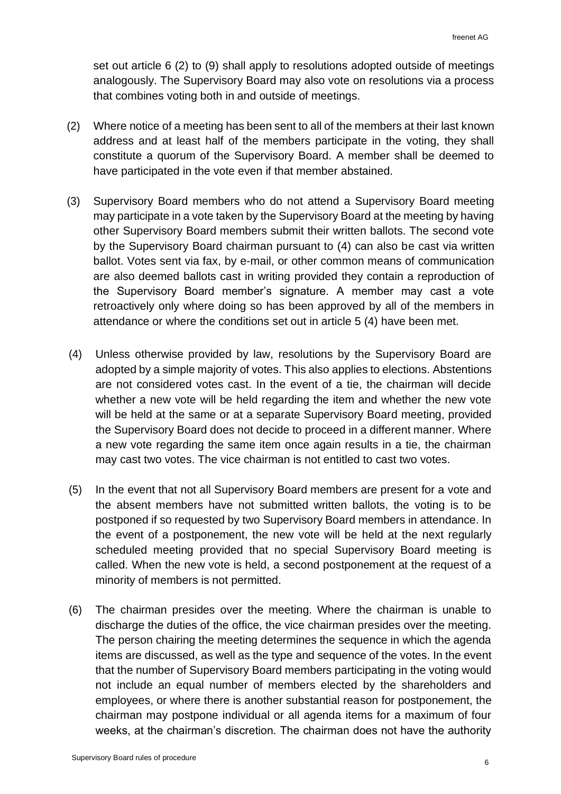set out article 6 (2) to (9) shall apply to resolutions adopted outside of meetings analogously. The Supervisory Board may also vote on resolutions via a process that combines voting both in and outside of meetings.

- (2) Where notice of a meeting has been sent to all of the members at their last known address and at least half of the members participate in the voting, they shall constitute a quorum of the Supervisory Board. A member shall be deemed to have participated in the vote even if that member abstained.
- (3) Supervisory Board members who do not attend a Supervisory Board meeting may participate in a vote taken by the Supervisory Board at the meeting by having other Supervisory Board members submit their written ballots. The second vote by the Supervisory Board chairman pursuant to (4) can also be cast via written ballot. Votes sent via fax, by e-mail, or other common means of communication are also deemed ballots cast in writing provided they contain a reproduction of the Supervisory Board member's signature. A member may cast a vote retroactively only where doing so has been approved by all of the members in attendance or where the conditions set out in article 5 (4) have been met.
- (4) Unless otherwise provided by law, resolutions by the Supervisory Board are adopted by a simple majority of votes. This also applies to elections. Abstentions are not considered votes cast. In the event of a tie, the chairman will decide whether a new vote will be held regarding the item and whether the new vote will be held at the same or at a separate Supervisory Board meeting, provided the Supervisory Board does not decide to proceed in a different manner. Where a new vote regarding the same item once again results in a tie, the chairman may cast two votes. The vice chairman is not entitled to cast two votes.
- (5) In the event that not all Supervisory Board members are present for a vote and the absent members have not submitted written ballots, the voting is to be postponed if so requested by two Supervisory Board members in attendance. In the event of a postponement, the new vote will be held at the next regularly scheduled meeting provided that no special Supervisory Board meeting is called. When the new vote is held, a second postponement at the request of a minority of members is not permitted.
- (6) The chairman presides over the meeting. Where the chairman is unable to discharge the duties of the office, the vice chairman presides over the meeting. The person chairing the meeting determines the sequence in which the agenda items are discussed, as well as the type and sequence of the votes. In the event that the number of Supervisory Board members participating in the voting would not include an equal number of members elected by the shareholders and employees, or where there is another substantial reason for postponement, the chairman may postpone individual or all agenda items for a maximum of four weeks, at the chairman's discretion. The chairman does not have the authority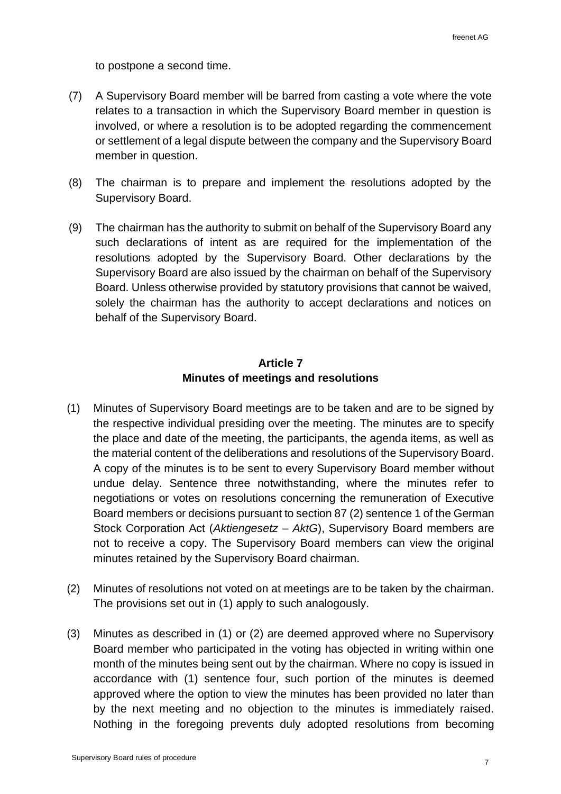to postpone a second time.

- (7) A Supervisory Board member will be barred from casting a vote where the vote relates to a transaction in which the Supervisory Board member in question is involved, or where a resolution is to be adopted regarding the commencement or settlement of a legal dispute between the company and the Supervisory Board member in question.
- (8) The chairman is to prepare and implement the resolutions adopted by the Supervisory Board.
- (9) The chairman has the authority to submit on behalf of the Supervisory Board any such declarations of intent as are required for the implementation of the resolutions adopted by the Supervisory Board. Other declarations by the Supervisory Board are also issued by the chairman on behalf of the Supervisory Board. Unless otherwise provided by statutory provisions that cannot be waived, solely the chairman has the authority to accept declarations and notices on behalf of the Supervisory Board.

## **Article 7 Minutes of meetings and resolutions**

- (1) Minutes of Supervisory Board meetings are to be taken and are to be signed by the respective individual presiding over the meeting. The minutes are to specify the place and date of the meeting, the participants, the agenda items, as well as the material content of the deliberations and resolutions of the Supervisory Board. A copy of the minutes is to be sent to every Supervisory Board member without undue delay. Sentence three notwithstanding, where the minutes refer to negotiations or votes on resolutions concerning the remuneration of Executive Board members or decisions pursuant to section 87 (2) sentence 1 of the German Stock Corporation Act (*Aktiengesetz – AktG*), Supervisory Board members are not to receive a copy. The Supervisory Board members can view the original minutes retained by the Supervisory Board chairman.
- (2) Minutes of resolutions not voted on at meetings are to be taken by the chairman. The provisions set out in (1) apply to such analogously.
- (3) Minutes as described in (1) or (2) are deemed approved where no Supervisory Board member who participated in the voting has objected in writing within one month of the minutes being sent out by the chairman. Where no copy is issued in accordance with (1) sentence four, such portion of the minutes is deemed approved where the option to view the minutes has been provided no later than by the next meeting and no objection to the minutes is immediately raised. Nothing in the foregoing prevents duly adopted resolutions from becoming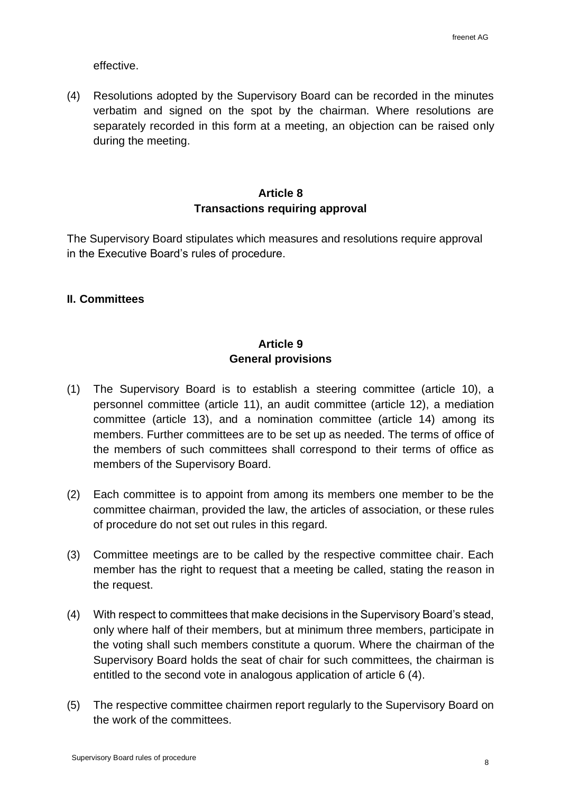effective.

(4) Resolutions adopted by the Supervisory Board can be recorded in the minutes verbatim and signed on the spot by the chairman. Where resolutions are separately recorded in this form at a meeting, an objection can be raised only during the meeting.

#### **Article 8 Transactions requiring approval**

The Supervisory Board stipulates which measures and resolutions require approval in the Executive Board's rules of procedure.

#### **II. Committees**

## **Article 9 General provisions**

- (1) The Supervisory Board is to establish a steering committee (article 10), a personnel committee (article 11), an audit committee (article 12), a mediation committee (article 13), and a nomination committee (article 14) among its members. Further committees are to be set up as needed. The terms of office of the members of such committees shall correspond to their terms of office as members of the Supervisory Board.
- (2) Each committee is to appoint from among its members one member to be the committee chairman, provided the law, the articles of association, or these rules of procedure do not set out rules in this regard.
- (3) Committee meetings are to be called by the respective committee chair. Each member has the right to request that a meeting be called, stating the reason in the request.
- (4) With respect to committees that make decisions in the Supervisory Board's stead, only where half of their members, but at minimum three members, participate in the voting shall such members constitute a quorum. Where the chairman of the Supervisory Board holds the seat of chair for such committees, the chairman is entitled to the second vote in analogous application of article 6 (4).
- (5) The respective committee chairmen report regularly to the Supervisory Board on the work of the committees.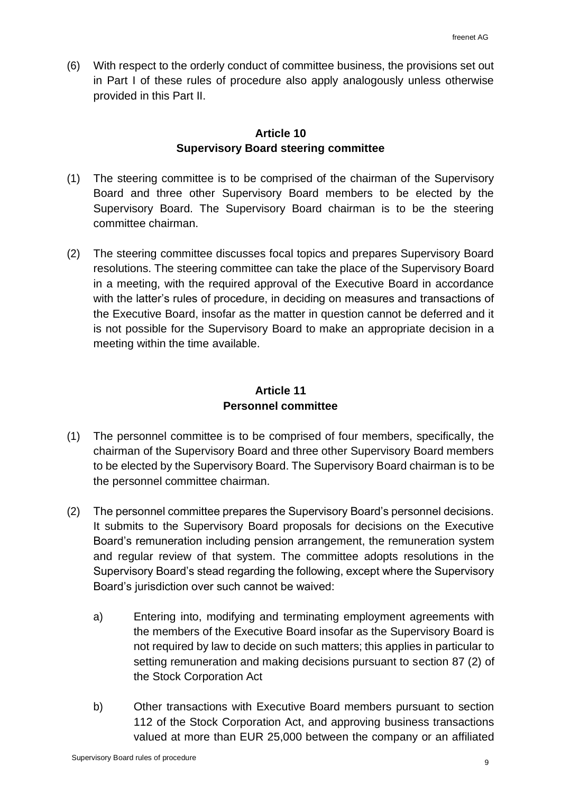(6) With respect to the orderly conduct of committee business, the provisions set out in Part I of these rules of procedure also apply analogously unless otherwise provided in this Part II.

#### **Article 10 Supervisory Board steering committee**

- (1) The steering committee is to be comprised of the chairman of the Supervisory Board and three other Supervisory Board members to be elected by the Supervisory Board. The Supervisory Board chairman is to be the steering committee chairman.
- (2) The steering committee discusses focal topics and prepares Supervisory Board resolutions. The steering committee can take the place of the Supervisory Board in a meeting, with the required approval of the Executive Board in accordance with the latter's rules of procedure, in deciding on measures and transactions of the Executive Board, insofar as the matter in question cannot be deferred and it is not possible for the Supervisory Board to make an appropriate decision in a meeting within the time available.

## **Article 11 Personnel committee**

- (1) The personnel committee is to be comprised of four members, specifically, the chairman of the Supervisory Board and three other Supervisory Board members to be elected by the Supervisory Board. The Supervisory Board chairman is to be the personnel committee chairman.
- (2) The personnel committee prepares the Supervisory Board's personnel decisions. It submits to the Supervisory Board proposals for decisions on the Executive Board's remuneration including pension arrangement, the remuneration system and regular review of that system. The committee adopts resolutions in the Supervisory Board's stead regarding the following, except where the Supervisory Board's jurisdiction over such cannot be waived:
	- a) Entering into, modifying and terminating employment agreements with the members of the Executive Board insofar as the Supervisory Board is not required by law to decide on such matters; this applies in particular to setting remuneration and making decisions pursuant to section 87 (2) of the Stock Corporation Act
	- b) Other transactions with Executive Board members pursuant to section 112 of the Stock Corporation Act, and approving business transactions valued at more than EUR 25,000 between the company or an affiliated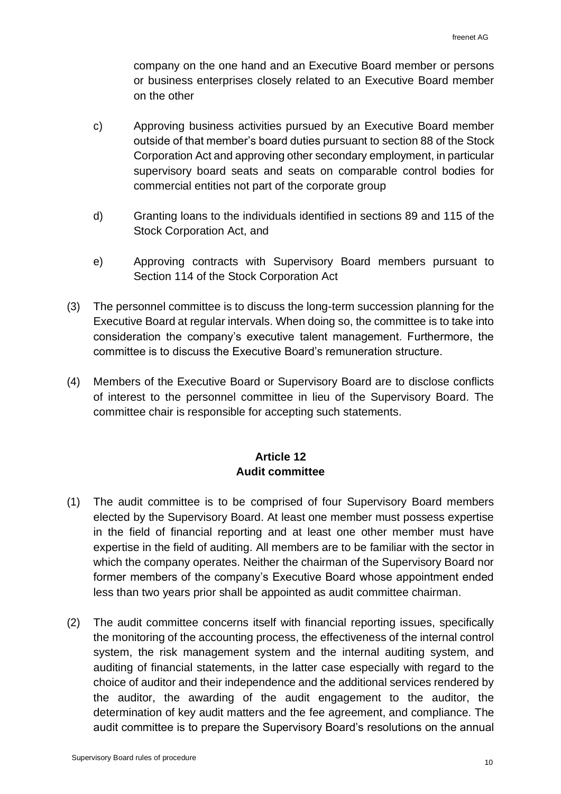company on the one hand and an Executive Board member or persons or business enterprises closely related to an Executive Board member on the other

- c) Approving business activities pursued by an Executive Board member outside of that member's board duties pursuant to section 88 of the Stock Corporation Act and approving other secondary employment, in particular supervisory board seats and seats on comparable control bodies for commercial entities not part of the corporate group
- d) Granting loans to the individuals identified in sections 89 and 115 of the Stock Corporation Act, and
- e) Approving contracts with Supervisory Board members pursuant to Section 114 of the Stock Corporation Act
- (3) The personnel committee is to discuss the long-term succession planning for the Executive Board at regular intervals. When doing so, the committee is to take into consideration the company's executive talent management. Furthermore, the committee is to discuss the Executive Board's remuneration structure.
- (4) Members of the Executive Board or Supervisory Board are to disclose conflicts of interest to the personnel committee in lieu of the Supervisory Board. The committee chair is responsible for accepting such statements.

## **Article 12 Audit committee**

- (1) The audit committee is to be comprised of four Supervisory Board members elected by the Supervisory Board. At least one member must possess expertise in the field of financial reporting and at least one other member must have expertise in the field of auditing. All members are to be familiar with the sector in which the company operates. Neither the chairman of the Supervisory Board nor former members of the company's Executive Board whose appointment ended less than two years prior shall be appointed as audit committee chairman.
- (2) The audit committee concerns itself with financial reporting issues, specifically the monitoring of the accounting process, the effectiveness of the internal control system, the risk management system and the internal auditing system, and auditing of financial statements, in the latter case especially with regard to the choice of auditor and their independence and the additional services rendered by the auditor, the awarding of the audit engagement to the auditor, the determination of key audit matters and the fee agreement, and compliance. The audit committee is to prepare the Supervisory Board's resolutions on the annual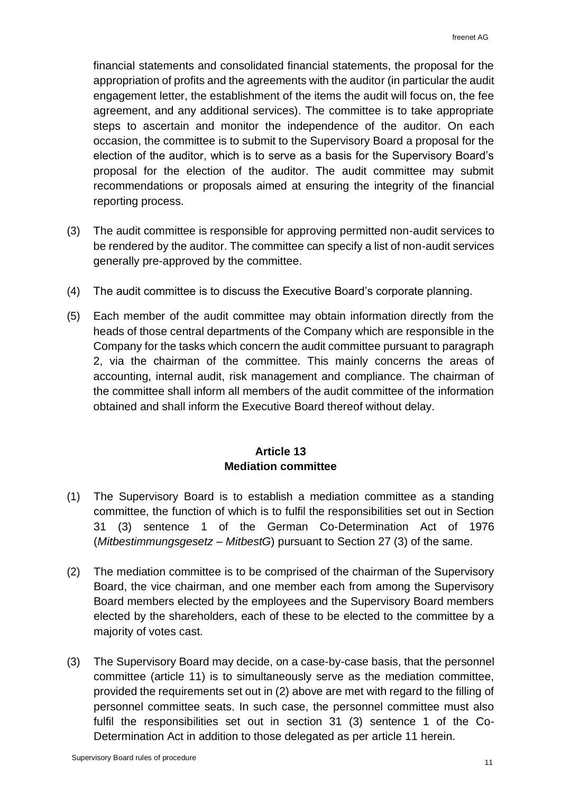financial statements and consolidated financial statements, the proposal for the appropriation of profits and the agreements with the auditor (in particular the audit engagement letter, the establishment of the items the audit will focus on, the fee agreement, and any additional services). The committee is to take appropriate steps to ascertain and monitor the independence of the auditor. On each occasion, the committee is to submit to the Supervisory Board a proposal for the election of the auditor, which is to serve as a basis for the Supervisory Board's proposal for the election of the auditor. The audit committee may submit recommendations or proposals aimed at ensuring the integrity of the financial reporting process.

- (3) The audit committee is responsible for approving permitted non-audit services to be rendered by the auditor. The committee can specify a list of non-audit services generally pre-approved by the committee.
- (4) The audit committee is to discuss the Executive Board's corporate planning.
- (5) Each member of the audit committee may obtain information directly from the heads of those central departments of the Company which are responsible in the Company for the tasks which concern the audit committee pursuant to paragraph 2, via the chairman of the committee. This mainly concerns the areas of accounting, internal audit, risk management and compliance. The chairman of the committee shall inform all members of the audit committee of the information obtained and shall inform the Executive Board thereof without delay.

## **Article 13 Mediation committee**

- (1) The Supervisory Board is to establish a mediation committee as a standing committee, the function of which is to fulfil the responsibilities set out in Section 31 (3) sentence 1 of the German Co-Determination Act of 1976 (*Mitbestimmungsgesetz – MitbestG*) pursuant to Section 27 (3) of the same.
- (2) The mediation committee is to be comprised of the chairman of the Supervisory Board, the vice chairman, and one member each from among the Supervisory Board members elected by the employees and the Supervisory Board members elected by the shareholders, each of these to be elected to the committee by a majority of votes cast.
- (3) The Supervisory Board may decide, on a case-by-case basis, that the personnel committee (article 11) is to simultaneously serve as the mediation committee, provided the requirements set out in (2) above are met with regard to the filling of personnel committee seats. In such case, the personnel committee must also fulfil the responsibilities set out in section 31 (3) sentence 1 of the Co-Determination Act in addition to those delegated as per article 11 herein.